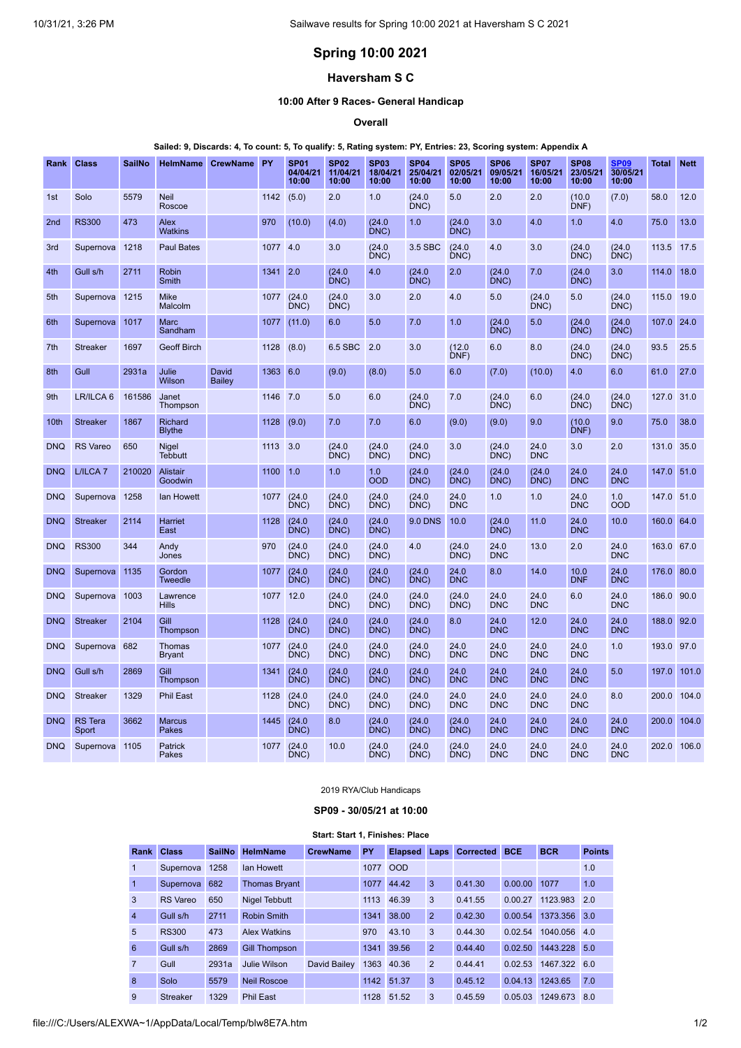# **Spring 10:00 2021**

# **Haversham S C**

### **10:00 After 9 Races- General Handicap**

**Overall**

#### Sailed: 9, Discards: 4, To count: 5, To qualify: 5, Rating system: PY, Entries: 23, Scoring system: Appendix A

| Rank            | <b>Class</b>            | SailNo | <b>HelmName</b>                 | <b>CrewName</b>        | <b>PY</b> | <b>SP01</b><br>04/04/21<br>10:00 | <b>SP02</b><br>11/04/21<br>10:00 | <b>SP03</b><br>18/04/21<br>10:00 | <b>SP04</b><br>25/04/21<br>10:00 | <b>SP05</b><br>02/05/21<br>10:00 | SP <sub>06</sub><br>09/05/21<br>10:00 | <b>SP07</b><br>16/05/21<br>10:00 | <b>SP08</b><br>23/05/21<br>10:00 | <b>SP09</b><br>30/05/21<br>10:00 | Total       | <b>Nett</b> |
|-----------------|-------------------------|--------|---------------------------------|------------------------|-----------|----------------------------------|----------------------------------|----------------------------------|----------------------------------|----------------------------------|---------------------------------------|----------------------------------|----------------------------------|----------------------------------|-------------|-------------|
| 1st             | Solo                    | 5579   | <b>Neil</b><br>Roscoe           |                        | 1142      | (5.0)                            | 2.0                              | 1.0                              | (24.0)<br>DNC)                   | 5.0                              | 2.0                                   | 2.0                              | (10.0)<br>DNF)                   | (7.0)                            | 58.0        | 12.0        |
| 2 <sub>nd</sub> | <b>RS300</b>            | 473    | Alex<br><b>Watkins</b>          |                        | 970       | (10.0)                           | (4.0)                            | (24.0)<br>DNC)                   | 1.0                              | (24.0)<br>DNC)                   | 3.0                                   | 4.0                              | 1.0                              | 4.0                              | 75.0        | 13.0        |
| 3rd             | Supernova               | 1218   | <b>Paul Bates</b>               |                        | 1077      | 4.0                              | 3.0                              | (24.0)<br>DNC)                   | 3.5 SBC                          | (24.0)<br>DNC)                   | 4.0                                   | 3.0                              | (24.0)<br>DNC)                   | (24.0)<br>DNC)                   | 113.5       | 17.5        |
| 4th             | Gull s/h                | 2711   | <b>Robin</b><br>Smith           |                        | 1341 2.0  |                                  | (24.0)<br>DNC)                   | 4.0                              | (24.0)<br>DNC)                   | 2.0                              | (24.0)<br>DNC)                        | 7.0                              | (24.0)<br>DNC)                   | 3.0                              | 114.0       | 18.0        |
| 5th             | Supernova 1215          |        | <b>Mike</b><br><b>Malcolm</b>   |                        | 1077      | (24.0)<br>DNC)                   | (24.0)<br>DNC                    | 3.0                              | 2.0                              | 4.0                              | 5.0                                   | (24.0)<br>DNC)                   | 5.0                              | (24.0)<br>DNC)                   | 115.0       | 19.0        |
| 6th             | Supernova               | 1017   | <b>Marc</b><br>Sandham          |                        | 1077      | (11.0)                           | 6.0                              | 5.0                              | 7.0                              | 1.0                              | (24.0)<br>DNC)                        | 5.0                              | (24.0)<br>DNC)                   | (24.0)<br>DNC)                   | 107.0       | 24.0        |
| 7th             | <b>Streaker</b>         | 1697   | <b>Geoff Birch</b>              |                        | 1128      | (8.0)                            | 6.5 SBC                          | 2.0                              | 3.0                              | (12.0)<br>DNF)                   | 6.0                                   | 8.0                              | (24.0)<br>DNC)                   | (24.0)<br>DNC)                   | 93.5        | 25.5        |
| 8th             | Gull                    | 2931a  | Julie<br>Wilson                 | David<br><b>Bailey</b> | 1363      | 6.0                              | (9.0)                            | (8.0)                            | 5.0                              | 6.0                              | (7.0)                                 | (10.0)                           | 4.0                              | 6.0                              | 61.0        | 27.0        |
| 9th             | LR/ILCA 6               | 161586 | Janet<br>Thompson               |                        | 1146      | 7.0                              | 5.0                              | 6.0                              | (24.0)<br>DNC)                   | 7.0                              | (24.0)<br>DNC)                        | 6.0                              | (24.0)<br>DNC)                   | (24.0)<br>DNC)                   | 127.0       | 31.0        |
| 10th            | <b>Streaker</b>         | 1867   | <b>Richard</b><br><b>Blythe</b> |                        | 1128      | (9.0)                            | 7.0                              | 7.0                              | 6.0                              | (9.0)                            | (9.0)                                 | 9.0                              | (10.0)<br>DNF)                   | 9.0                              | 75.0        | 38.0        |
| <b>DNQ</b>      | <b>RS</b> Vareo         | 650    | <b>Nigel</b><br><b>Tebbutt</b>  |                        | 1113      | 3.0                              | (24.0<br>DNC                     | (24.0)<br>DNC                    | (24.0)<br>DNC)                   | 3.0                              | (24.0<br>DNC)                         | 24.0<br><b>DNC</b>               | 3.0                              | 2.0                              | 131.0       | 35.0        |
| <b>DNQ</b>      | L/ILCA <sub>7</sub>     | 210020 | Alistair<br>Goodwin             |                        | 1100      | 1.0                              | 1.0                              | 1.0<br><b>OOD</b>                | (24.0)<br>DNC)                   | (24.0)<br>DNC)                   | (24.0)<br>DNC)                        | (24.0)<br>DNC)                   | 24.0<br><b>DNC</b>               | 24.0<br><b>DNC</b>               | 147.0       | 51.0        |
| <b>DNQ</b>      | Supernova               | 1258   | <b>Ian Howett</b>               |                        | 1077      | (24.0)<br>DNC)                   | (24.0)<br>DNC)                   | (24.0)<br>DNC)                   | (24.0)<br>DNC)                   | 24.0<br><b>DNC</b>               | 1.0                                   | 1.0                              | 24.0<br><b>DNC</b>               | 1.0<br><b>OOD</b>                | 147.0       | 51.0        |
| <b>DNO</b>      | <b>Streaker</b>         | 2114   | <b>Harriet</b><br>East          |                        | 1128      | (24.0)<br>DNC)                   | (24.0)<br>DNC                    | (24.0)<br>DNC)                   | <b>9.0 DNS</b>                   | 10.0                             | (24.0)<br>DNC)                        | 11.0                             | 24.0<br><b>DNC</b>               | 10.0                             | 160.0       | 64.0        |
| <b>DNQ</b>      | <b>RS300</b>            | 344    | Andy<br>Jones                   |                        | 970       | (24.0)<br>DNC)                   | (24.0)<br>DNC)                   | (24.0)<br>DNC)                   | 4.0                              | (24.0)<br>DNC)                   | 24.0<br><b>DNC</b>                    | 13.0                             | 2.0                              | 24.0<br><b>DNC</b>               | 163.0       | 67.0        |
| <b>DNQ</b>      | Supernova               | 1135   | Gordon<br><b>Tweedle</b>        |                        | 1077      | (24.0)<br>DNC)                   | (24.0)<br>DNC)                   | (24.0)<br>DNC)                   | (24.0)<br>DNC)                   | 24.0<br><b>DNC</b>               | 8.0                                   | 14.0                             | 10.0<br><b>DNF</b>               | 24.0<br><b>DNC</b>               | 176.0       | 80.0        |
| <b>DNQ</b>      | Supernova               | 1003   | Lawrence<br><b>Hills</b>        |                        | 1077      | 12.0                             | (24.0)<br>DNC)                   | (24.0)<br>DNC)                   | (24.0)<br>DNC)                   | (24.0)<br>DNC                    | 24.0<br><b>DNC</b>                    | 24.0<br><b>DNC</b>               | 6.0                              | 24.0<br><b>DNC</b>               | 186.0       | 90.0        |
| <b>DNQ</b>      | <b>Streaker</b>         | 2104   | Gill<br>Thompson                |                        | 1128      | (24.0)<br>DNC)                   | (24.0)<br>DNC                    | (24.0)<br>DNC)                   | (24.0)<br>DNC)                   | 8.0                              | 24.0<br><b>DNC</b>                    | 12.0                             | 24.0<br><b>DNC</b>               | 24.0<br><b>DNC</b>               | 188.0       | 92.0        |
| <b>DNQ</b>      | Supernova               | 682    | Thomas<br><b>Bryant</b>         |                        | 1077      | (24.0)<br>DNC)                   | (24.0)<br>DNC)                   | (24.0)<br>DNC)                   | (24.0)<br>DNC)                   | 24.0<br><b>DNC</b>               | 24.0<br><b>DNC</b>                    | 24.0<br><b>DNC</b>               | 24.0<br><b>DNC</b>               | 1.0                              | 193.0       | 97.0        |
| <b>DNQ</b>      | Gull s/h                | 2869   | Gill<br>Thompson                |                        | 1341      | (24.0)<br>DNC)                   | (24.0)<br>DNC)                   | (24.0)<br>DNC)                   | (24.0)<br>DNC)                   | 24.0<br><b>DNC</b>               | 24.0<br><b>DNC</b>                    | 24.0<br><b>DNC</b>               | 24.0<br><b>DNC</b>               | 5.0                              | 197.0       | 101.0       |
| <b>DNQ</b>      | Streaker                | 1329   | <b>Phil East</b>                |                        | 1128      | (24.0)<br>DNC)                   | (24.0)<br>DNC)                   | (24.0)<br>DNC)                   | (24.0)<br>DNC)                   | 24.0<br><b>DNC</b>               | 24.0<br><b>DNC</b>                    | 24.0<br><b>DNC</b>               | 24.0<br><b>DNC</b>               | 8.0                              | 200.0       | 104.0       |
| <b>DNQ</b>      | <b>RS</b> Tera<br>Sport | 3662   | <b>Marcus</b><br>Pakes          |                        | 1445      | (24.0)<br>DNC)                   | 8.0                              | (24.0)<br>DNC                    | (24.0)<br>DNC)                   | (24.0)<br>DNC)                   | 24.0<br><b>DNC</b>                    | 24.0<br><b>DNC</b>               | 24.0<br><b>DNC</b>               | 24.0<br><b>DNC</b>               | 200.0       | 104.0       |
| <b>DNQ</b>      | Supernova 1105          |        | Patrick<br>Pakes                |                        | 1077      | (24.0)<br>DNC)                   | 10.0                             | (24.0)<br>DNC)                   | (24.0)<br>DNC)                   | (24.0)<br>DNC)                   | 24.0<br><b>DNC</b>                    | 24.0<br><b>DNC</b>               | 24.0<br><b>DNC</b>               | 24.0<br><b>DNC</b>               | 202.0 106.0 |             |

2019 RYA/Club Handicaps

## **SP09 - 30/05/21 at 10:00**

#### **Start: Start 1, Finishes: Place**

<span id="page-0-0"></span>

| Rank           | <b>Class</b>    | <b>SailNo</b> | <b>HelmName</b>      | <b>CrewName</b> | PY   | <b>Elapsed</b> | Laps           | <b>Corrected</b> | <b>BCE</b> | <b>BCR</b>   | <b>Points</b> |
|----------------|-----------------|---------------|----------------------|-----------------|------|----------------|----------------|------------------|------------|--------------|---------------|
| 1              | Supernova       | 1258          | lan Howett           |                 | 1077 | <b>OOD</b>     |                |                  |            |              | 1.0           |
| $\mathbf{1}$   | Supernova       | 682           | <b>Thomas Bryant</b> |                 | 1077 | 44.42          | 3              | 0.41.30          | 0.00.00    | 1077         | 1.0           |
| 3              | <b>RS</b> Vareo | 650           | <b>Nigel Tebbutt</b> |                 | 1113 | 46.39          | 3              | 0.41.55          | 0.00.27    | 1123.983     | 2.0           |
| $\overline{4}$ | Gull s/h        | 2711          | Robin Smith          |                 | 1341 | 38.00          | $\overline{2}$ | 0.42.30          | 0.00.54    | 1373.356 3.0 |               |
| 5              | <b>RS300</b>    | 473           | <b>Alex Watkins</b>  |                 | 970  | 43.10          | 3              | 0.44.30          | 0.02.54    | 1040.056     | 4.0           |
| 6              | Gull s/h        | 2869          | <b>Gill Thompson</b> |                 | 1341 | 39.56          | $\overline{2}$ | 0.44.40          | 0.02.50    | 1443.228 5.0 |               |
| 7              | Gull            | 2931a         | Julie Wilson         | David Bailey    | 1363 | 40.36          | 2              | 0.44.41          | 0.02.53    | 1467.322 6.0 |               |
| 8              | Solo            | 5579          | <b>Neil Roscoe</b>   |                 | 1142 | 51.37          | 3              | 0.45.12          | 0.04.13    | 1243.65      | 7.0           |
| 9              | <b>Streaker</b> | 1329          | <b>Phil East</b>     |                 | 1128 | 51.52          | 3              | 0.45.59          | 0.05.03    | 1249.673     | 8.0           |

file:///C:/Users/ALEXWA~1/AppData/Local/Temp/blw8E7A.htm 1/2